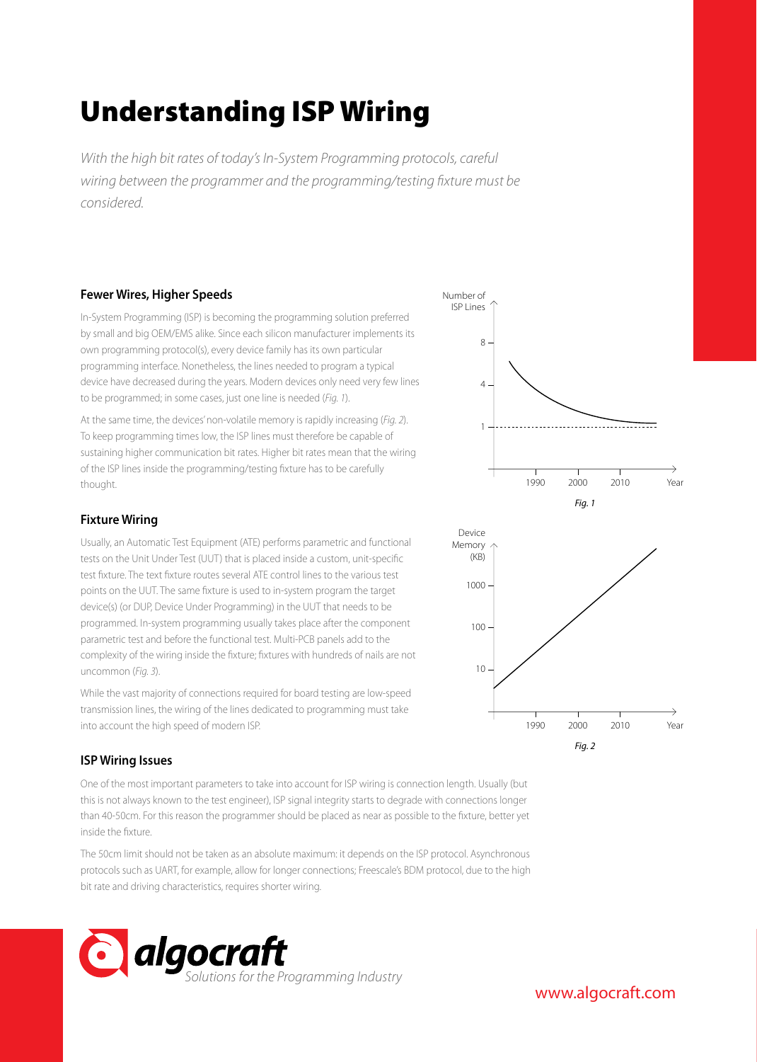# Understanding ISP Wiring

*With the high bit rates of today's In-System Programming protocols, careful*  wiring between the programmer and the programming/testing fixture must be *considered.*

# **Fewer Wires, Higher Speeds**

In-System Programming (ISP) is becoming the programming solution preferred by small and big OEM/EMS alike. Since each silicon manufacturer implements its own programming protocol(s), every device family has its own particular programming interface. Nonetheless, the lines needed to program a typical device have decreased during the years. Modern devices only need very few lines to be programmed; in some cases, just one line is needed (*Fig. 1*).

At the same time, the devices' non-volatile memory is rapidly increasing (*Fig. 2*). To keep programming times low, the ISP lines must therefore be capable of sustaining higher communication bit rates. Higher bit rates mean that the wiring of the ISP lines inside the programming/testing fixture has to be carefully thought.

# **Fixture Wiring**

Usually, an Automatic Test Equipment (ATE) performs parametric and functional tests on the Unit Under Test (UUT) that is placed inside a custom, unit-specific test fixture. The text fixture routes several ATE control lines to the various test points on the UUT. The same fixture is used to in-system program the target device(s) (or DUP, Device Under Programming) in the UUT that needs to be programmed. In-system programming usually takes place after the component parametric test and before the functional test. Multi-PCB panels add to the complexity of the wiring inside the fixture; fixtures with hundreds of nails are not uncommon (*Fig. 3*).

While the vast majority of connections required for board testing are low-speed transmission lines, the wiring of the lines dedicated to programming must take into account the high speed of modern ISP.

# **ISP Wiring Issues**

One of the most important parameters to take into account for ISP wiring is connection length. Usually (but this is not always known to the test engineer), ISP signal integrity starts to degrade with connections longer than 40-50cm. For this reason the programmer should be placed as near as possible to the fixture, better yet inside the fixture.

The 50cm limit should not be taken as an absolute maximum: it depends on the ISP protocol. Asynchronous protocols such as UART, for example, allow for longer connections; Freescale's BDM protocol, due to the high bit rate and driving characteristics, requires shorter wiring.







*Fig. 2*

www.algocraft.com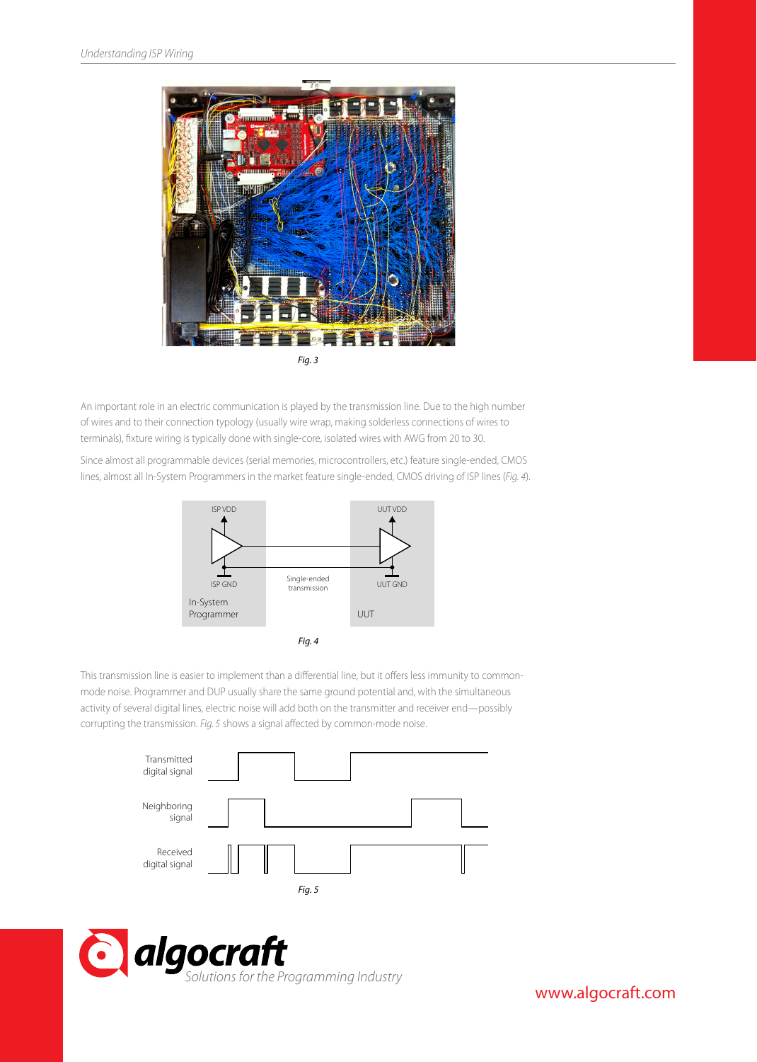

An important role in an electric communication is played by the transmission line. Due to the high number of wires and to their connection typology (usually wire wrap, making solderless connections of wires to terminals), fixture wiring is typically done with single-core, isolated wires with AWG from 20 to 30.

Since almost all programmable devices (serial memories, microcontrollers, etc.) feature single-ended, CMOS lines, almost all In-System Programmers in the market feature single-ended, CMOS driving of ISP lines (*Fig. 4*).



This transmission line is easier to implement than a differential line, but it offers less immunity to commonmode noise. Programmer and DUP usually share the same ground potential and, with the simultaneous activity of several digital lines, electric noise will add both on the transmitter and receiver end—possibly corrupting the transmission. Fig. 5 shows a signal affected by common-mode noise.





www.algocraft.com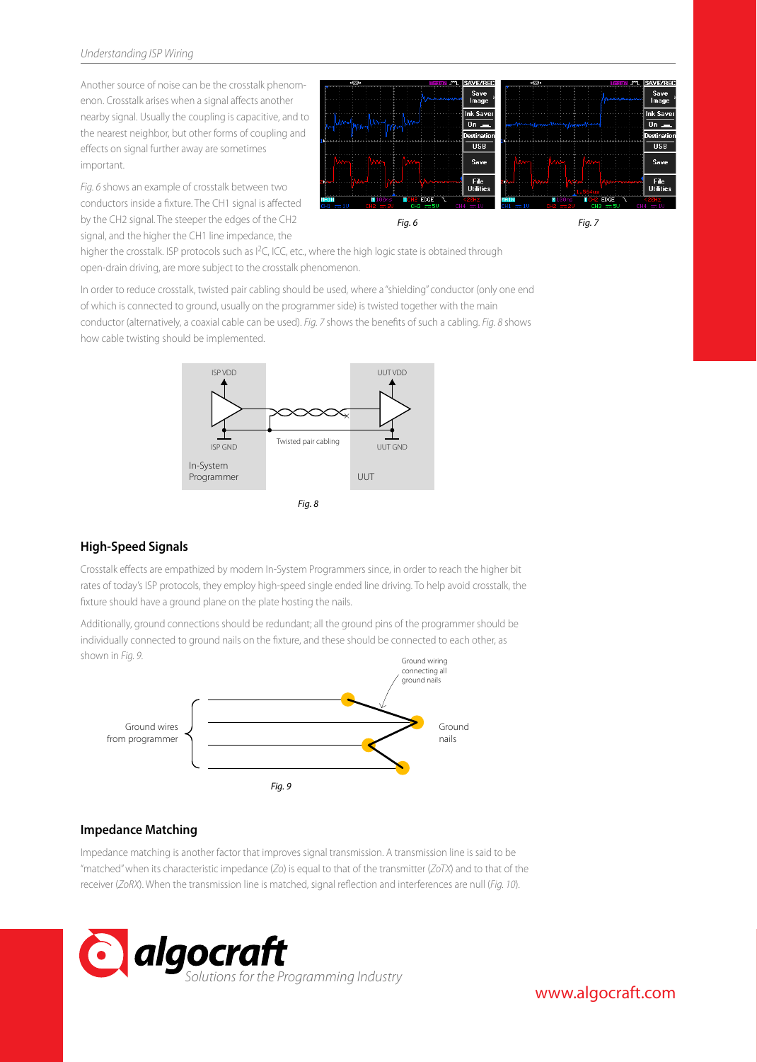Another source of noise can be the crosstalk phenomenon. Crosstalk arises when a signal affects another nearby signal. Usually the coupling is capacitive, and to the nearest neighbor, but other forms of coupling and effects on signal further away are sometimes important.

*Fig. 6* shows an example of crosstalk between two conductors inside a fixture. The CH1 signal is affected by the CH2 signal. The steeper the edges of the CH2 signal, and the higher the CH1 line impedance, the



higher the crosstalk. ISP protocols such as I<sup>2</sup>C, ICC, etc., where the high logic state is obtained through open-drain driving, are more subject to the crosstalk phenomenon.

In order to reduce crosstalk, twisted pair cabling should be used, where a "shielding" conductor (only one end of which is connected to ground, usually on the programmer side) is twisted together with the main conductor (alternatively, a coaxial cable can be used). *Fig. 7* shows the benets of such a cabling. *Fig. 8* shows how cable twisting should be implemented.



# **High-Speed Signals**

Crosstalk effects are empathized by modern In-System Programmers since, in order to reach the higher bit rates of today's ISP protocols, they employ high-speed single ended line driving. To help avoid crosstalk, the xture should have a ground plane on the plate hosting the nails.

Additionally, ground connections should be redundant; all the ground pins of the programmer should be individually connected to ground nails on the fixture, and these should be connected to each other, as shown in *Fig. 9*. Ground wiring



# **Impedance Matching**

Impedance matching is another factor that improves signal transmission. A transmission line is said to be "matched" when its characteristic impedance (*Zo*) is equal to that of the transmitter (*ZoTX*) and to that of the receiver (*ZoRX*). When the transmission line is matched, signal reflection and interferences are null (*Fig. 10*).